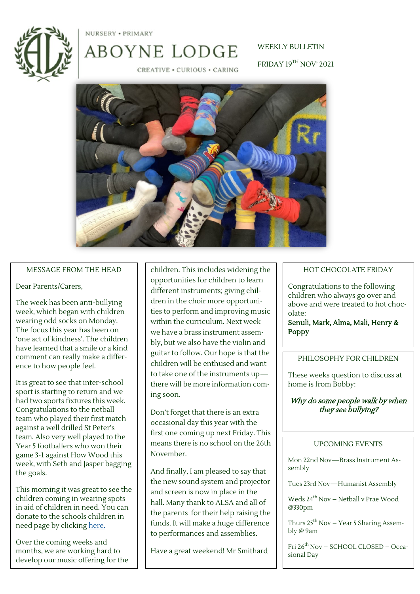

NURSERY . PRIMARY

# ABOYNE LODGE

WEEKLY BULLETIN FRIDAY 19TH NOV' 2021

CREATIVE . CURIOUS . CARING



#### MESSAGE FROM THE HEAD

#### Dear Parents/Carers,

The week has been anti-bullying week, which began with children wearing odd socks on Monday. The focus this year has been on 'one act of kindness'. The children have learned that a smile or a kind comment can really make a difference to how people feel.

It is great to see that inter-school sport is starting to return and we had two sports fixtures this week. Congratulations to the netball team who played their first match against a well drilled St Peter's team. Also very well played to the Year 5 footballers who won their game 3-1 against How Wood this week, with Seth and Jasper bagging the goals.

This morning it was great to see the children coming in wearing spots in aid of children in need. You can donate to the schools children in need page by clicking [here.](https://trk.justgiving.com/f/a/0Ny8VTXx82r88CrZeAegag~~/AAME8QA~/RgRjdMMxP4QGAWh0dHBzOi8vd3d3Lmp1c3RnaXZpbmcuY29tL2Z1bmRyYWlzaW5nL0Fib3luZS1Mb2RnZS1KdW5pb3ItTWl4ZWQtYW5kLUluZmFudC1TY2hvb2wtTG9kZ2U_dXRtX2NhbXBhaWduPWxjX2ZycF9zaGFyZV90cmFuc2FjdGlvbl9mdW5kcmF)

Over the coming weeks and months, we are working hard to develop our music offering for the

children. This includes widening the opportunities for children to learn different instruments; giving children in the choir more opportunities to perform and improving music within the curriculum. Next week we have a brass instrument assembly, but we also have the violin and guitar to follow. Our hope is that the children will be enthused and want to take one of the instruments up there will be more information coming soon.

Don't forget that there is an extra occasional day this year with the first one coming up next Friday. This means there is no school on the 26th November.

And finally, I am pleased to say that the new sound system and projector and screen is now in place in the hall. Many thank to ALSA and all of the parents for their help raising the funds. It will make a huge difference to performances and assemblies.

Have a great weekend! Mr Smithard

#### HOT CHOCOLATE FRIDAY

Congratulations to the following children who always go over and above and were treated to hot chocolate:

Senuli, Mark, Alma, Mali, Henry & Poppy

#### PHILOSOPHY FOR CHILDREN

These weeks question to discuss at home is from Bobby:

# Why do some people walk by when they see bullying?

#### UPCOMING EVENTS

Mon 22nd Nov—Brass Instrument Assembly

Tues 23rd Nov—Humanist Assembly

Weds 24th Nov – Netball v Prae Wood @330pm

Thurs  $25^{th}$  Nov – Year 5 Sharing Assembly @ 9am

Fri 26th Nov – SCHOOL CLOSED – Occasional Day